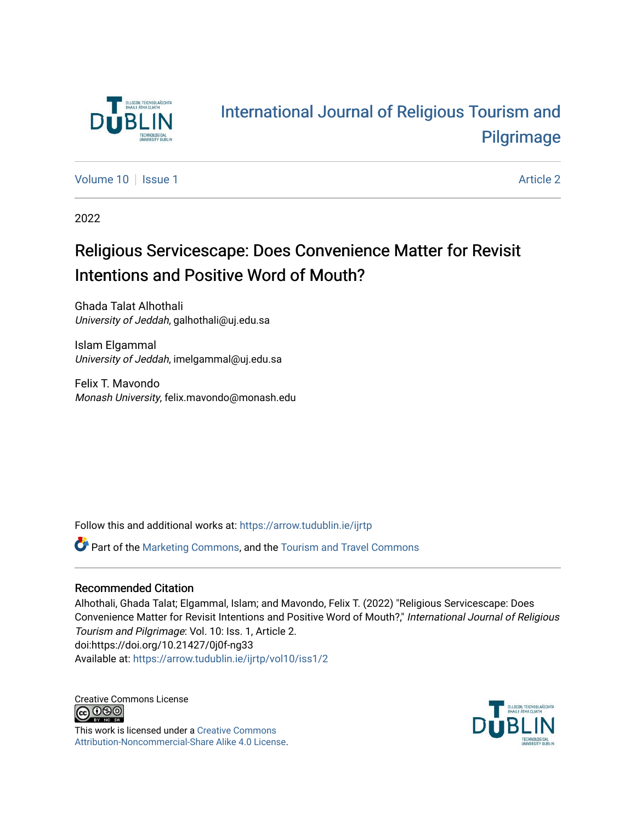

# [International Journal of Religious Tourism and](https://arrow.tudublin.ie/ijrtp)  [Pilgrimage](https://arrow.tudublin.ie/ijrtp)

[Volume 10](https://arrow.tudublin.ie/ijrtp/vol10) | [Issue 1](https://arrow.tudublin.ie/ijrtp/vol10/iss1) Article 2

2022

# Religious Servicescape: Does Convenience Matter for Revisit Intentions and Positive Word of Mouth?

Ghada Talat Alhothali University of Jeddah, galhothali@uj.edu.sa

Islam Elgammal University of Jeddah, imelgammal@uj.edu.sa

Felix T. Mavondo Monash University, felix.mavondo@monash.edu

Follow this and additional works at: [https://arrow.tudublin.ie/ijrtp](https://arrow.tudublin.ie/ijrtp?utm_source=arrow.tudublin.ie%2Fijrtp%2Fvol10%2Fiss1%2F2&utm_medium=PDF&utm_campaign=PDFCoverPages)

Part of the [Marketing Commons](https://network.bepress.com/hgg/discipline/638?utm_source=arrow.tudublin.ie%2Fijrtp%2Fvol10%2Fiss1%2F2&utm_medium=PDF&utm_campaign=PDFCoverPages), and the [Tourism and Travel Commons](https://network.bepress.com/hgg/discipline/1082?utm_source=arrow.tudublin.ie%2Fijrtp%2Fvol10%2Fiss1%2F2&utm_medium=PDF&utm_campaign=PDFCoverPages) 

## Recommended Citation

Alhothali, Ghada Talat; Elgammal, Islam; and Mavondo, Felix T. (2022) "Religious Servicescape: Does Convenience Matter for Revisit Intentions and Positive Word of Mouth?," International Journal of Religious Tourism and Pilgrimage: Vol. 10: Iss. 1, Article 2. doi:https://doi.org/10.21427/0j0f-ng33 Available at: [https://arrow.tudublin.ie/ijrtp/vol10/iss1/2](https://arrow.tudublin.ie/ijrtp/vol10/iss1/2?utm_source=arrow.tudublin.ie%2Fijrtp%2Fvol10%2Fiss1%2F2&utm_medium=PDF&utm_campaign=PDFCoverPages)

Creative Commons License<br>  $\bigcirc$  000

This work is licensed under a [Creative Commons](https://creativecommons.org/licenses/by-nc-sa/4.0/) [Attribution-Noncommercial-Share Alike 4.0 License](https://creativecommons.org/licenses/by-nc-sa/4.0/).

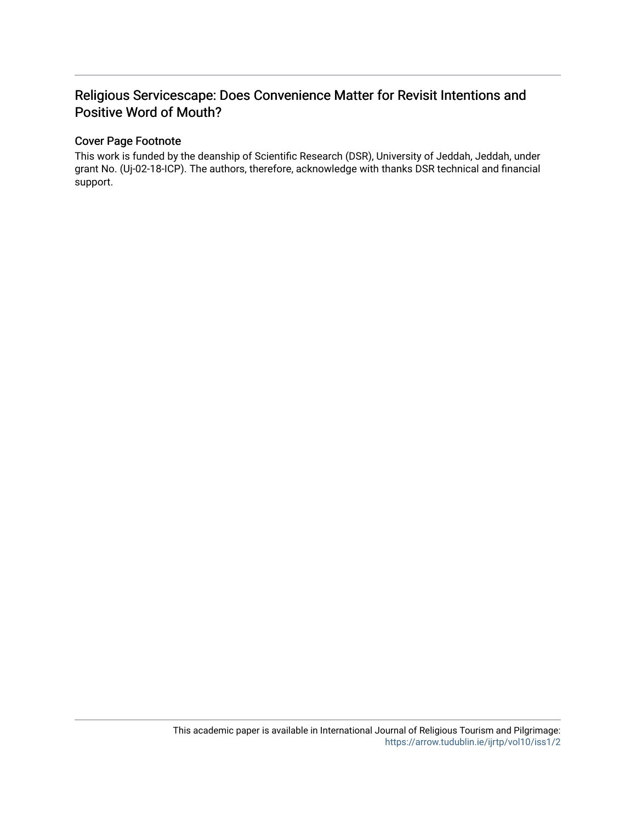# Religious Servicescape: Does Convenience Matter for Revisit Intentions and Positive Word of Mouth?

### Cover Page Footnote

This work is funded by the deanship of Scientific Research (DSR), University of Jeddah, Jeddah, under grant No. (Uj-02-18-ICP). The authors, therefore, acknowledge with thanks DSR technical and financial support.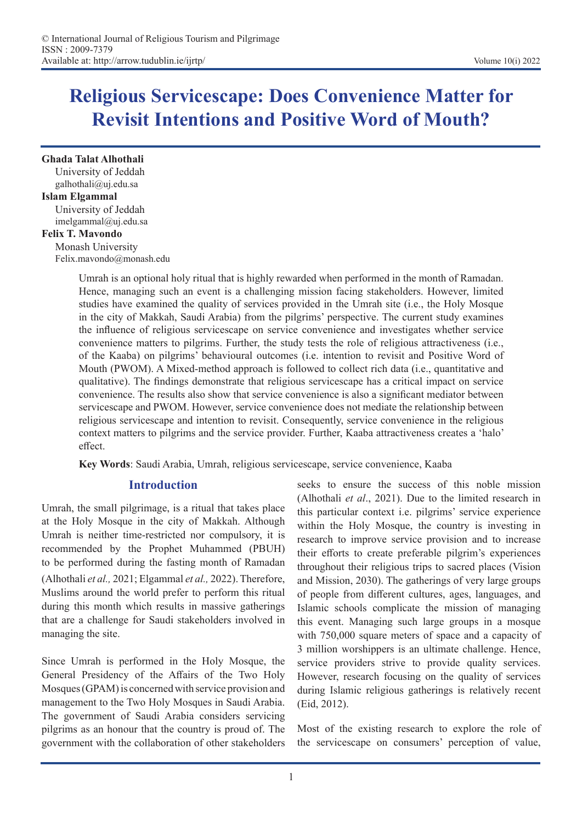# **Religious Servicescape: Does Convenience Matter for Revisit Intentions and Positive Word of Mouth?**

**Ghada Talat Alhothali**  University of Jeddah galhothali@uj.edu.sa

## **Islam Elgammal**

University of Jeddah imelgammal@uj.edu.sa

## **Felix T. Mavondo**

Monash University Felix.mavondo@monash.edu

> Umrah is an optional holy ritual that is highly rewarded when performed in the month of Ramadan. Hence, managing such an event is a challenging mission facing stakeholders. However, limited studies have examined the quality of services provided in the Umrah site (i.e., the Holy Mosque in the city of Makkah, Saudi Arabia) from the pilgrims' perspective. The current study examines the influence of religious servicescape on service convenience and investigates whether service convenience matters to pilgrims. Further, the study tests the role of religious attractiveness (i.e., of the Kaaba) on pilgrims' behavioural outcomes (i.e. intention to revisit and Positive Word of Mouth (PWOM). A Mixed-method approach is followed to collect rich data (i.e., quantitative and qualitative). The findings demonstrate that religious servicescape has a critical impact on service convenience. The results also show that service convenience is also a significant mediator between servicescape and PWOM. However, service convenience does not mediate the relationship between religious servicescape and intention to revisit. Consequently, service convenience in the religious context matters to pilgrims and the service provider. Further, Kaaba attractiveness creates a 'halo' effect.

**Key Words**: Saudi Arabia, Umrah, religious servicescape, service convenience, Kaaba

## **Introduction**

Umrah, the small pilgrimage, is a ritual that takes place at the Holy Mosque in the city of Makkah. Although Umrah is neither time-restricted nor compulsory, it is recommended by the Prophet Muhammed (PBUH) to be performed during the fasting month of Ramadan (Alhothali *et al.,* 2021; Elgammal *et al.,* 2022). Therefore, Muslims around the world prefer to perform this ritual during this month which results in massive gatherings that are a challenge for Saudi stakeholders involved in managing the site.

Since Umrah is performed in the Holy Mosque, the General Presidency of the Affairs of the Two Holy Mosques (GPAM) is concerned with service provision and management to the Two Holy Mosques in Saudi Arabia. The government of Saudi Arabia considers servicing pilgrims as an honour that the country is proud of. The government with the collaboration of other stakeholders

seeks to ensure the success of this noble mission (Alhothali *et al*., 2021). Due to the limited research in this particular context i.e. pilgrims' service experience within the Holy Mosque, the country is investing in research to improve service provision and to increase their efforts to create preferable pilgrim's experiences throughout their religious trips to sacred places (Vision and Mission, 2030). The gatherings of very large groups of people from different cultures, ages, languages, and Islamic schools complicate the mission of managing this event. Managing such large groups in a mosque with 750,000 square meters of space and a capacity of 3 million worshippers is an ultimate challenge. Hence, service providers strive to provide quality services. However, research focusing on the quality of services during Islamic religious gatherings is relatively recent (Eid, 2012).

Most of the existing research to explore the role of the servicescape on consumers' perception of value,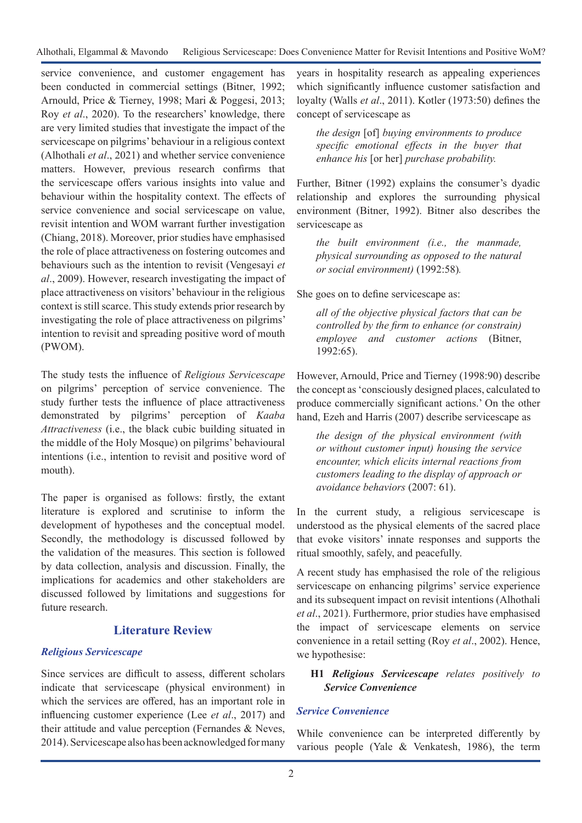service convenience, and customer engagement has been conducted in commercial settings (Bitner, 1992; Arnould, Price & Tierney, 1998; Mari & Poggesi, 2013; Roy *et al*., 2020). To the researchers' knowledge, there are very limited studies that investigate the impact of the servicescape on pilgrims' behaviour in a religious context (Alhothali *et al*., 2021) and whether service convenience matters. However, previous research confirms that the servicescape offers various insights into value and behaviour within the hospitality context. The effects of service convenience and social servicescape on value, revisit intention and WOM warrant further investigation (Chiang, 2018). Moreover, prior studies have emphasised the role of place attractiveness on fostering outcomes and behaviours such as the intention to revisit (Vengesayi *et al*., 2009). However, research investigating the impact of place attractiveness on visitors' behaviour in the religious context is still scarce. This study extends prior research by investigating the role of place attractiveness on pilgrims' intention to revisit and spreading positive word of mouth (PWOM).

The study tests the influence of *Religious Servicescape*  on pilgrims' perception of service convenience. The study further tests the influence of place attractiveness demonstrated by pilgrims' perception of *Kaaba Attractiveness* (i.e., the black cubic building situated in the middle of the Holy Mosque) on pilgrims' behavioural intentions (i.e., intention to revisit and positive word of mouth).

The paper is organised as follows: firstly, the extant literature is explored and scrutinise to inform the development of hypotheses and the conceptual model. Secondly, the methodology is discussed followed by the validation of the measures. This section is followed by data collection, analysis and discussion. Finally, the implications for academics and other stakeholders are discussed followed by limitations and suggestions for future research.

# **Literature Review**

## *Religious Servicescape*

Since services are difficult to assess, different scholars indicate that servicescape (physical environment) in which the services are offered, has an important role in influencing customer experience (Lee *et al*., 2017) and their attitude and value perception (Fernandes & Neves, 2014). Servicescape also has been acknowledged for many years in hospitality research as appealing experiences which significantly influence customer satisfaction and loyalty (Walls *et al*., 2011). Kotler (1973:50) defines the concept of servicescape as

*the design* [of] *buying environments to produce specific emotional effects in the buyer that enhance his* [or her] *purchase probability.* 

Further, Bitner (1992) explains the consumer's dyadic relationship and explores the surrounding physical environment (Bitner, 1992). Bitner also describes the servicescape as

*the built environment (i.e., the manmade, physical surrounding as opposed to the natural or social environment)* (1992:58)*.*

She goes on to define servicescape as:

*all of the objective physical factors that can be controlled by the firm to enhance (or constrain) employee and customer actions* (Bitner, 1992:65).

However, Arnould, Price and Tierney (1998:90) describe the concept as 'consciously designed places, calculated to produce commercially significant actions.' On the other hand, Ezeh and Harris (2007) describe servicescape as

*the design of the physical environment (with or without customer input) housing the service encounter, which elicits internal reactions from customers leading to the display of approach or avoidance behaviors* (2007: 61).

In the current study, a religious servicescape is understood as the physical elements of the sacred place that evoke visitors' innate responses and supports the ritual smoothly, safely, and peacefully.

A recent study has emphasised the role of the religious servicescape on enhancing pilgrims' service experience and its subsequent impact on revisit intentions (Alhothali *et al*., 2021). Furthermore, prior studies have emphasised the impact of servicescape elements on service convenience in a retail setting (Roy *et al*., 2002). Hence, we hypothesise:

## **H1** *Religious Servicescape relates positively to Service Convenience*

## *Service Convenience*

While convenience can be interpreted differently by various people (Yale & Venkatesh, 1986), the term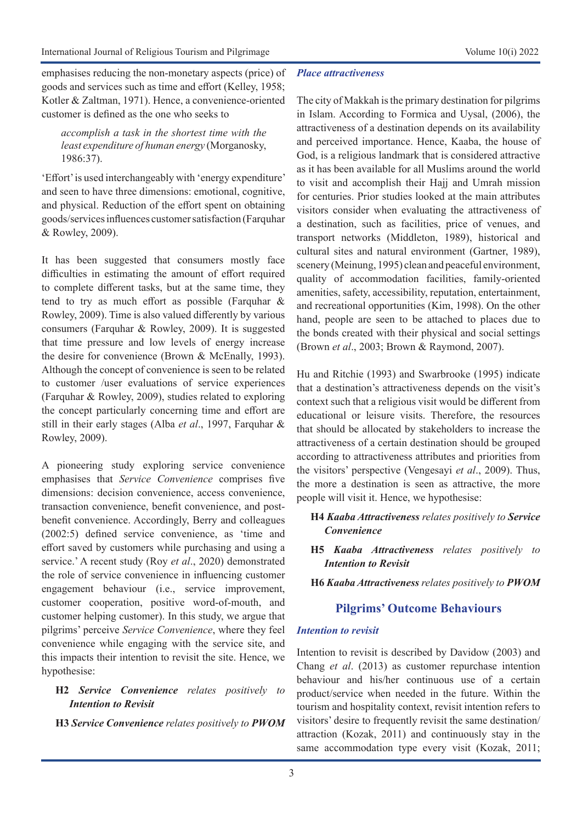emphasises reducing the non-monetary aspects (price) of goods and services such as time and effort (Kelley, 1958; Kotler & Zaltman, 1971). Hence, a convenience-oriented customer is defined as the one who seeks to

*accomplish a task in the shortest time with the least expenditure of human energy* (Morganosky, 1986:37).

'Effort' is used interchangeably with 'energy expenditure' and seen to have three dimensions: emotional, cognitive, and physical. Reduction of the effort spent on obtaining goods/services influences customer satisfaction (Farquhar & Rowley, 2009).

It has been suggested that consumers mostly face difficulties in estimating the amount of effort required to complete different tasks, but at the same time, they tend to try as much effort as possible (Farquhar & Rowley, 2009). Time is also valued differently by various consumers (Farquhar & Rowley, 2009). It is suggested that time pressure and low levels of energy increase the desire for convenience (Brown & McEnally, 1993). Although the concept of convenience is seen to be related to customer /user evaluations of service experiences (Farquhar & Rowley, 2009), studies related to exploring the concept particularly concerning time and effort are still in their early stages (Alba *et al*., 1997, Farquhar & Rowley, 2009).

A pioneering study exploring service convenience emphasises that *Service Convenience* comprises five dimensions: decision convenience, access convenience, transaction convenience, benefit convenience, and postbenefit convenience. Accordingly, Berry and colleagues (2002:5) defined service convenience, as 'time and effort saved by customers while purchasing and using a service.' A recent study (Roy *et al*., 2020) demonstrated the role of service convenience in influencing customer engagement behaviour (i.e., service improvement, customer cooperation, positive word-of-mouth, and customer helping customer). In this study, we argue that pilgrims' perceive *Service Convenience*, where they feel convenience while engaging with the service site, and this impacts their intention to revisit the site. Hence, we hypothesise:

### **H2** *Service Convenience relates positively to Intention to Revisit*

**H3** *Service Convenience relates positively to PWOM*

#### *Place attractiveness*

The city of Makkah is the primary destination for pilgrims in Islam. According to Formica and Uysal, (2006), the attractiveness of a destination depends on its availability and perceived importance. Hence, Kaaba, the house of God, is a religious landmark that is considered attractive as it has been available for all Muslims around the world to visit and accomplish their Hajj and Umrah mission for centuries. Prior studies looked at the main attributes visitors consider when evaluating the attractiveness of a destination, such as facilities, price of venues, and transport networks (Middleton, 1989), historical and cultural sites and natural environment (Gartner, 1989), scenery (Meinung, 1995) clean and peaceful environment, quality of accommodation facilities, family-oriented amenities, safety, accessibility, reputation, entertainment, and recreational opportunities (Kim, 1998). On the other hand, people are seen to be attached to places due to the bonds created with their physical and social settings (Brown *et al*., 2003; Brown & Raymond, 2007).

Hu and Ritchie (1993) and Swarbrooke (1995) indicate that a destination's attractiveness depends on the visit's context such that a religious visit would be different from educational or leisure visits. Therefore, the resources that should be allocated by stakeholders to increase the attractiveness of a certain destination should be grouped according to attractiveness attributes and priorities from the visitors' perspective (Vengesayi *et al*., 2009). Thus, the more a destination is seen as attractive, the more people will visit it. Hence, we hypothesise:

- **H4** *Kaaba Attractiveness relates positively to Service Convenience*
- **H5** *Kaaba Attractiveness relates positively to Intention to Revisit*
- **H6** *Kaaba Attractiveness relates positively to PWOM*

# **Pilgrims' Outcome Behaviours**

#### *Intention to revisit*

Intention to revisit is described by Davidow (2003) and Chang *et al*. (2013) as customer repurchase intention behaviour and his/her continuous use of a certain product/service when needed in the future. Within the tourism and hospitality context, revisit intention refers to visitors' desire to frequently revisit the same destination/ attraction (Kozak, 2011) and continuously stay in the same accommodation type every visit (Kozak, 2011;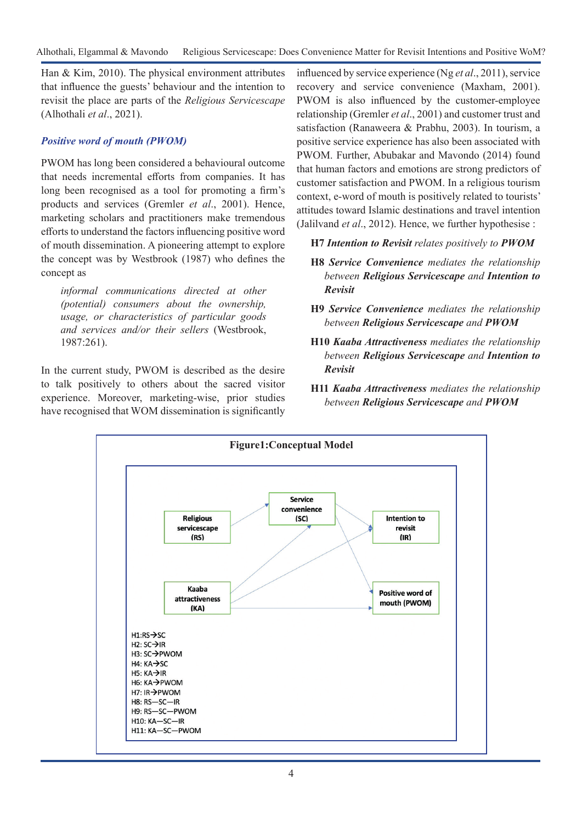Han & Kim, 2010). The physical environment attributes that influence the guests' behaviour and the intention to revisit the place are parts of the *Religious Servicescape*  (Alhothali *et al*., 2021).

## *Positive word of mouth (PWOM)*

PWOM has long been considered a behavioural outcome that needs incremental efforts from companies. It has long been recognised as a tool for promoting a firm's products and services (Gremler *et al*., 2001). Hence, marketing scholars and practitioners make tremendous efforts to understand the factors influencing positive word of mouth dissemination. A pioneering attempt to explore the concept was by Westbrook (1987) who defines the concept as

*informal communications directed at other (potential) consumers about the ownership, usage, or characteristics of particular goods and services and/or their sellers* (Westbrook, 1987:261).

In the current study, PWOM is described as the desire to talk positively to others about the sacred visitor experience. Moreover, marketing-wise, prior studies have recognised that WOM dissemination is significantly influenced by service experience (Ng *et al*., 2011), service recovery and service convenience (Maxham, 2001). PWOM is also influenced by the customer-employee relationship (Gremler *et al*., 2001) and customer trust and satisfaction (Ranaweera & Prabhu, 2003). In tourism, a positive service experience has also been associated with PWOM. Further, Abubakar and Mavondo (2014) found that human factors and emotions are strong predictors of customer satisfaction and PWOM. In a religious tourism context, e-word of mouth is positively related to tourists' attitudes toward Islamic destinations and travel intention (Jalilvand *et al*., 2012). Hence, we further hypothesise :

## **H7** *Intention to Revisit relates positively to PWOM*

- **H8** *Service Convenience mediates the relationship between Religious Servicescape and Intention to Revisit*
- **H9** *Service Convenience mediates the relationship between Religious Servicescape and PWOM*
- **H10** *Kaaba Attractiveness mediates the relationship between Religious Servicescape and Intention to Revisit*
- **H11** *Kaaba Attractiveness mediates the relationship between Religious Servicescape and PWOM*

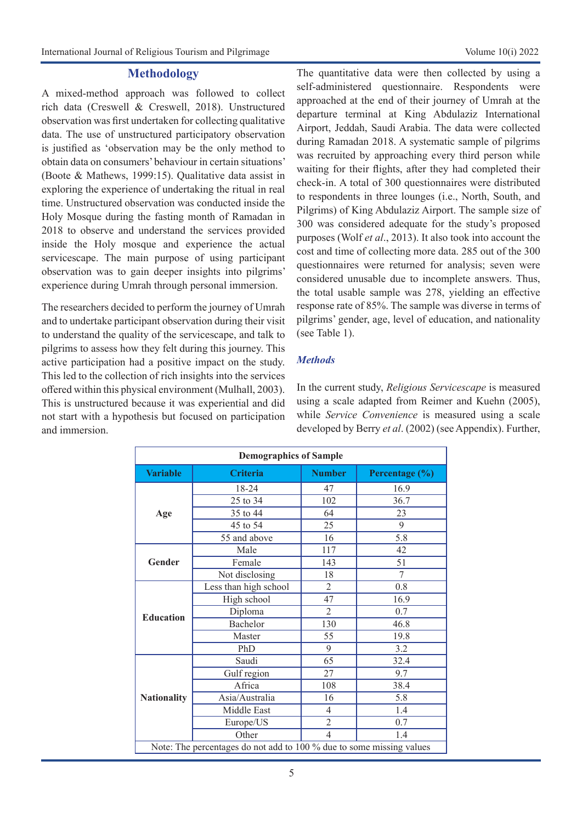#### **Methodology**

A mixed-method approach was followed to collect rich data (Creswell & Creswell, 2018). Unstructured observation was first undertaken for collecting qualitative data. The use of unstructured participatory observation is justified as 'observation may be the only method to obtain data on consumers' behaviour in certain situations' (Boote & Mathews, 1999:15). Qualitative data assist in exploring the experience of undertaking the ritual in real time. Unstructured observation was conducted inside the Holy Mosque during the fasting month of Ramadan in 2018 to observe and understand the services provided inside the Holy mosque and experience the actual servicescape. The main purpose of using participant observation was to gain deeper insights into pilgrims' experience during Umrah through personal immersion.

The researchers decided to perform the journey of Umrah and to undertake participant observation during their visit to understand the quality of the servicescape, and talk to pilgrims to assess how they felt during this journey. This active participation had a positive impact on the study. This led to the collection of rich insights into the services offered within this physical environment (Mulhall, 2003). This is unstructured because it was experiential and did not start with a hypothesis but focused on participation and immersion.

The quantitative data were then collected by using a self-administered questionnaire. Respondents were approached at the end of their journey of Umrah at the departure terminal at King Abdulaziz International Airport, Jeddah, Saudi Arabia. The data were collected during Ramadan 2018. A systematic sample of pilgrims was recruited by approaching every third person while waiting for their flights, after they had completed their check-in. A total of 300 questionnaires were distributed to respondents in three lounges (i.e., North, South, and Pilgrims) of King Abdulaziz Airport. The sample size of 300 was considered adequate for the study's proposed purposes (Wolf *et al*., 2013). It also took into account the cost and time of collecting more data. 285 out of the 300 questionnaires were returned for analysis; seven were considered unusable due to incomplete answers. Thus, the total usable sample was 278, yielding an effective response rate of 85%. The sample was diverse in terms of pilgrims' gender, age, level of education, and nationality (see Table 1).

### *Methods*

In the current study, *Religious Servicescape* is measured using a scale adapted from Reimer and Kuehn (2005), while *Service Convenience* is measured using a scale developed by Berry *et al*. (2002) (see Appendix). Further,

| <b>Demographics of Sample</b>                                        |                       |                |                |  |
|----------------------------------------------------------------------|-----------------------|----------------|----------------|--|
| <b>Variable</b>                                                      | <b>Criteria</b>       | <b>Number</b>  | Percentage (%) |  |
|                                                                      | 18-24                 | 47             | 16.9           |  |
|                                                                      | 25 to 34              | 102            | 36.7           |  |
| Age                                                                  | 35 to 44              | 64             | 23             |  |
|                                                                      | 45 to 54              | 25             | 9              |  |
|                                                                      | 55 and above          | 16             | 5.8            |  |
|                                                                      | Male                  | 117            | 42             |  |
| Gender                                                               | Female                | 143            | 51             |  |
|                                                                      | Not disclosing        | 18             | 7              |  |
|                                                                      | Less than high school | $\overline{2}$ | 0.8            |  |
|                                                                      | High school           | 47             | 16.9           |  |
| <b>Education</b>                                                     | Diploma               | $\overline{2}$ | 0.7            |  |
|                                                                      | Bachelor              | 130            | 46.8           |  |
|                                                                      | Master                | 55             | 19.8           |  |
|                                                                      | PhD                   | 9              | 3.2            |  |
|                                                                      | Saudi                 | 65             | 32.4           |  |
|                                                                      | Gulf region           | 27             | 9.7            |  |
|                                                                      | Africa                | 108            | 38.4           |  |
| <b>Nationality</b>                                                   | Asia/Australia        | 16             | 5.8            |  |
|                                                                      | Middle East           | $\overline{4}$ | 1.4            |  |
|                                                                      | Europe/US             | $\overline{c}$ | 0.7            |  |
|                                                                      | Other                 | $\overline{4}$ | 1.4            |  |
| Note: The percentages do not add to 100 % due to some missing values |                       |                |                |  |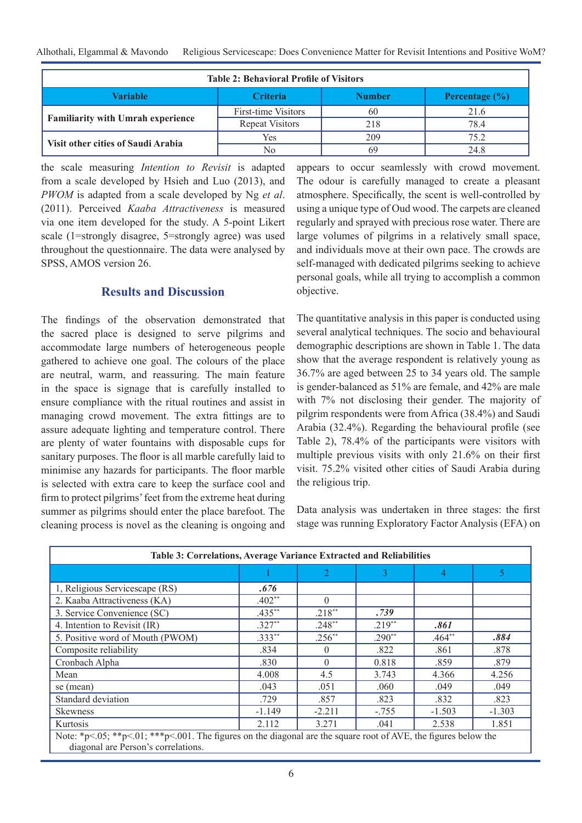| <b>Table 2: Behavioral Profile of Visitors</b> |                        |               |                    |  |  |
|------------------------------------------------|------------------------|---------------|--------------------|--|--|
| Variable                                       | <b>Criteria</b>        | <b>Number</b> | Percentage $(\% )$ |  |  |
|                                                | First-time Visitors    | 60            | 21.6               |  |  |
| <b>Familiarity with Umrah experience</b>       | <b>Repeat Visitors</b> | 218           | 78.4               |  |  |
| Visit other cities of Saudi Arabia             | Yes                    | 209           | 75.2               |  |  |
|                                                | No                     | 69            | 24.8               |  |  |

the scale measuring *Intention to Revisit* is adapted from a scale developed by Hsieh and Luo (2013), and *PWOM* is adapted from a scale developed by Ng *et al*. (2011). Perceived *Kaaba Attractiveness* is measured via one item developed for the study. A 5-point Likert scale (1=strongly disagree, 5=strongly agree) was used throughout the questionnaire. The data were analysed by SPSS, AMOS version 26.

## **Results and Discussion**

The findings of the observation demonstrated that the sacred place is designed to serve pilgrims and accommodate large numbers of heterogeneous people gathered to achieve one goal. The colours of the place are neutral, warm, and reassuring. The main feature in the space is signage that is carefully installed to ensure compliance with the ritual routines and assist in managing crowd movement. The extra fittings are to assure adequate lighting and temperature control. There are plenty of water fountains with disposable cups for sanitary purposes. The floor is all marble carefully laid to minimise any hazards for participants. The floor marble is selected with extra care to keep the surface cool and firm to protect pilgrims' feet from the extreme heat during summer as pilgrims should enter the place barefoot. The cleaning process is novel as the cleaning is ongoing and

appears to occur seamlessly with crowd movement. The odour is carefully managed to create a pleasant atmosphere. Specifically, the scent is well-controlled by using a unique type of Oud wood. The carpets are cleaned regularly and sprayed with precious rose water. There are large volumes of pilgrims in a relatively small space, and individuals move at their own pace. The crowds are self-managed with dedicated pilgrims seeking to achieve personal goals, while all trying to accomplish a common objective.

The quantitative analysis in this paper is conducted using several analytical techniques. The socio and behavioural demographic descriptions are shown in Table 1. The data show that the average respondent is relatively young as 36.7% are aged between 25 to 34 years old. The sample is gender-balanced as 51% are female, and 42% are male with 7% not disclosing their gender. The majority of pilgrim respondents were from Africa (38.4%) and Saudi Arabia (32.4%). Regarding the behavioural profile (see Table 2), 78.4% of the participants were visitors with multiple previous visits with only 21.6% on their first visit. 75.2% visited other cities of Saudi Arabia during the religious trip.

Data analysis was undertaken in three stages: the first stage was running Exploratory Factor Analysis (EFA) on

| Table 3: Correlations, Average Variance Extracted and Reliabilities                                                                                    |           |                  |          |          |          |
|--------------------------------------------------------------------------------------------------------------------------------------------------------|-----------|------------------|----------|----------|----------|
|                                                                                                                                                        |           |                  |          | 4        | 5        |
| 1, Religious Servicescape (RS)                                                                                                                         | .676      |                  |          |          |          |
| 2. Kaaba Attractiveness (KA)                                                                                                                           | $.402**$  | $\Omega$         |          |          |          |
| 3. Service Convenience (SC)                                                                                                                            | $.435***$ | $.218**$         | .739     |          |          |
| 4. Intention to Revisit (IR)                                                                                                                           | $.327**$  | $.248**$         | $.219**$ | .861     |          |
| 5. Positive word of Mouth (PWOM)                                                                                                                       | $.333**$  | $.256^{**}$      | $.290**$ | $.464**$ | .884     |
| Composite reliability                                                                                                                                  | .834      | $\left( \right)$ | .822     | .861     | .878     |
| Cronbach Alpha                                                                                                                                         | .830      | $\Omega$         | 0.818    | .859     | .879     |
| Mean                                                                                                                                                   | 4.008     | 4.5              | 3.743    | 4.366    | 4.256    |
| se (mean)                                                                                                                                              | .043      | .051             | .060     | .049     | .049     |
| Standard deviation                                                                                                                                     | .729      | .857             | .823     | .832     | .823     |
| <b>Skewness</b>                                                                                                                                        | $-1.149$  | $-2.211$         | $-.755$  | $-1.503$ | $-1.303$ |
| Kurtosis                                                                                                                                               | 2.112     | 3.271            | .041     | 2.538    | 1.851    |
| Note: *p<.05; **p<.01; ***p<.001. The figures on the diagonal are the square root of AVE, the figures below the<br>diagonal are Person's correlations. |           |                  |          |          |          |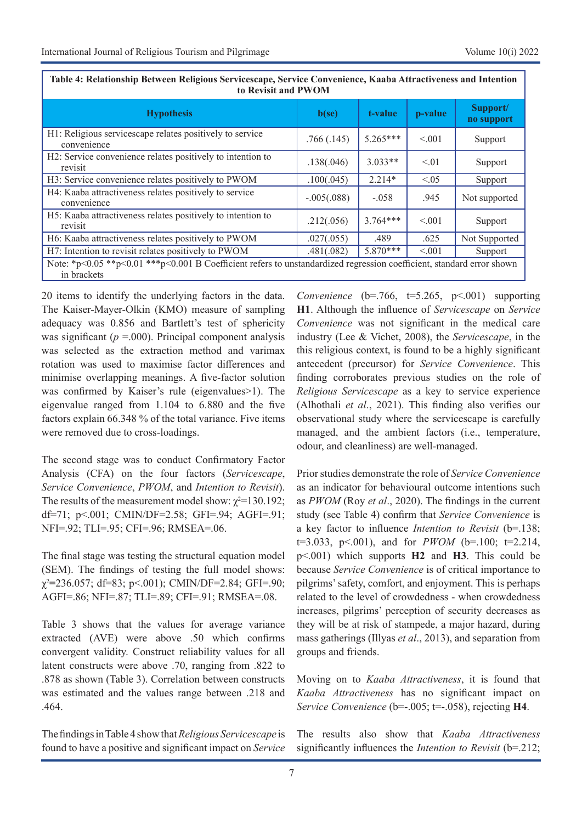| Table 11 INTRODUCING DUNGUN INTERVAS DU TRUSCAPU, DU TICE CONTUNIUM, IMARGA INTRODUCIS ANU INTERVIDU<br>to Revisit and PWOM          |               |            |         |                        |
|--------------------------------------------------------------------------------------------------------------------------------------|---------------|------------|---------|------------------------|
| <b>Hypothesis</b>                                                                                                                    | b(se)         | t-value    | p-value | Support/<br>no support |
| H1: Religious servicescape relates positively to service<br>convenience                                                              | .766(.145)    | $5.265***$ | < 0.001 | Support                |
| H2: Service convenience relates positively to intention to<br>revisit                                                                | .138(.046)    | $3.033**$  | < 01    | Support                |
| H3: Service convenience relates positively to PWOM                                                                                   | .100(.045)    | $2.214*$   | < 0.05  | Support                |
| H4: Kaaba attractiveness relates positively to service<br>convenience                                                                | $-.005(.088)$ | $-.058$    | .945    | Not supported          |
| H5: Kaaba attractiveness relates positively to intention to<br>revisit                                                               | .212(.056)    | $3.764***$ | < 0.001 | Support                |
| H6: Kaaba attractiveness relates positively to PWOM                                                                                  | .027(.055)    | .489       | .625    | Not Supported          |
| H7: Intention to revisit relates positively to PWOM                                                                                  | .481(.082)    | $5.870***$ | < 0.001 | Support                |
| Note: *p<0.05 **p<0.01 ***p<0.001 B Coefficient refers to unstandardized regression coefficient, standard error shown<br>in brackets |               |            |         |                        |

| Table 4: Relationship Between Religious Servicescape, Service Convenience, Kaaba Attractiveness and Intention |
|---------------------------------------------------------------------------------------------------------------|
| to Revisit and PWOM                                                                                           |

20 items to identify the underlying factors in the data. The Kaiser-Mayer-Olkin (KMO) measure of sampling adequacy was 0.856 and Bartlett's test of sphericity was significant ( $p = .000$ ). Principal component analysis was selected as the extraction method and varimax rotation was used to maximise factor differences and minimise overlapping meanings. A five-factor solution was confirmed by Kaiser's rule (eigenvalues>1). The eigenvalue ranged from 1.104 to 6.880 and the five factors explain 66.348 % of the total variance. Five items were removed due to cross-loadings.

The second stage was to conduct Confirmatory Factor Analysis (CFA) on the four factors (*Servicescape*, *Service Convenience*, *PWOM*, and *Intention to Revisit*). The results of the measurement model show:  $\chi^2$ =130.192; df=71; p<.001; CMIN/DF=2.58; GFI=.94; AGFI=.91; NFI=.92; TLI=.95; CFI=.96; RMSEA=.06.

The final stage was testing the structural equation model (SEM). The findings of testing the full model shows: χ2 **=**236.057; df=83; p<.001); CMIN/DF=2.84; GFI=.90; AGFI=.86; NFI=.87; TLI=.89; CFI=.91; RMSEA=.08.

Table 3 shows that the values for average variance extracted (AVE) were above .50 which confirms convergent validity. Construct reliability values for all latent constructs were above .70, ranging from .822 to .878 as shown (Table 3). Correlation between constructs was estimated and the values range between .218 and .464.

The findings in Table 4 show that *Religious Servicescape* is found to have a positive and significant impact on *Service* 

*Convenience* (b=.766, t=5.265, p<.001) supporting **H1**. Although the influence of *Servicescape* on *Service Convenience* was not significant in the medical care industry (Lee & Vichet, 2008), the *Servicescape*, in the this religious context, is found to be a highly significant antecedent (precursor) for *Service Convenience*. This finding corroborates previous studies on the role of *Religious Servicescape* as a key to service experience (Alhothali *et al*., 2021). This finding also verifies our observational study where the servicescape is carefully managed, and the ambient factors (i.e., temperature, odour, and cleanliness) are well-managed.

Prior studies demonstrate the role of *Service Convenience*  as an indicator for behavioural outcome intentions such as *PWOM* (Roy *et al*., 2020). The findings in the current study (see Table 4) confirm that *Service Convenience* is a key factor to influence *Intention to Revisit* (b=.138; t=3.033, p<.001), and for *PWOM* (b=.100; t=2.214, p<.001) which supports **H2** and **H3**. This could be because *Service Convenience* is of critical importance to pilgrims' safety, comfort, and enjoyment. This is perhaps related to the level of crowdedness - when crowdedness increases, pilgrims' perception of security decreases as they will be at risk of stampede, a major hazard, during mass gatherings (Illyas *et al*., 2013), and separation from groups and friends.

Moving on to *Kaaba Attractiveness*, it is found that *Kaaba Attractiveness* has no significant impact on *Service Convenience* (b=-.005; t=-.058), rejecting **H4**.

The results also show that *Kaaba Attractiveness*  significantly influences the *Intention to Revisit* (b=.212;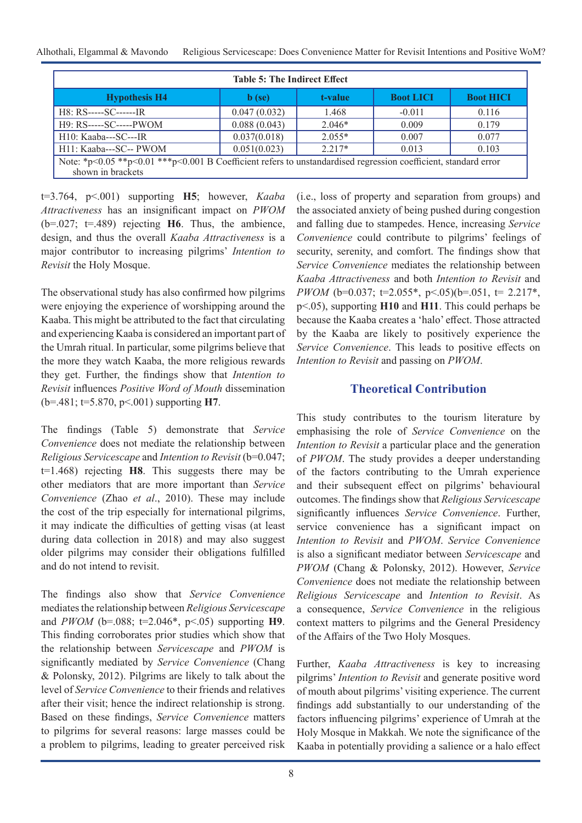Alhothali, Elgammal & Mavondo Religious Servicescape: Does Convenience Matter for Revisit Intentions and Positive WoM?

| <b>Table 5: The Indirect Effect</b>                                                                                                  |                  |          |                  |                  |  |
|--------------------------------------------------------------------------------------------------------------------------------------|------------------|----------|------------------|------------------|--|
| <b>Hypothesis H4</b>                                                                                                                 | $\mathbf b$ (se) | t-value  | <b>Boot LICI</b> | <b>Boot HICI</b> |  |
| $H8: RS---SC---IR$                                                                                                                   | 0.047(0.032)     | 1.468    | $-0.011$         | 0.116            |  |
| $H9: RS---SC---PWOM$                                                                                                                 | 0.088(0.043)     | $2.046*$ | 0.009            | 0.179            |  |
| $H10: Kaaba---SC---IR$                                                                                                               | 0.037(0.018)     | $2.055*$ | 0.007            | 0.077            |  |
| H11: Kaaba---SC-- PWOM                                                                                                               | 0.051(0.023)     | $2.217*$ | 0.013            | 0.103            |  |
| Note: *p<0.05 **p<0.01 ***p<0.001 B Coefficient refers to unstandardised regression coefficient, standard error<br>shown in brackets |                  |          |                  |                  |  |

t=3.764, p<.001) supporting **H5**; however, *Kaaba Attractiveness* has an insignificant impact on *PWOM*  (b=.027; t=.489) rejecting **H6**. Thus, the ambience, design, and thus the overall *Kaaba Attractiveness* is a major contributor to increasing pilgrims' *Intention to Revisit* the Holy Mosque.

The observational study has also confirmed how pilgrims were enjoying the experience of worshipping around the Kaaba. This might be attributed to the fact that circulating and experiencing Kaaba is considered an important part of the Umrah ritual. In particular, some pilgrims believe that the more they watch Kaaba, the more religious rewards they get. Further, the findings show that *Intention to Revisit* influences *Positive Word of Mouth* dissemination (b=.481; t=5.870, p<.001) supporting **H7**.

The findings (Table 5) demonstrate that *Service Convenience* does not mediate the relationship between *Religious Servicescape* and *Intention to Revisit* (b=0.047; t=1.468) rejecting **H8**. This suggests there may be other mediators that are more important than *Service Convenience* (Zhao *et al*., 2010). These may include the cost of the trip especially for international pilgrims, it may indicate the difficulties of getting visas (at least during data collection in 2018) and may also suggest older pilgrims may consider their obligations fulfilled and do not intend to revisit.

The findings also show that *Service Convenience*  mediates the relationship between *Religious Servicescape*  and *PWOM* (b=.088; t=2.046\*, p<.05) supporting **H9**. This finding corroborates prior studies which show that the relationship between *Servicescape* and *PWOM* is significantly mediated by *Service Convenience* (Chang & Polonsky, 2012). Pilgrims are likely to talk about the level of *Service Convenience* to their friends and relatives after their visit; hence the indirect relationship is strong. Based on these findings, *Service Convenience* matters to pilgrims for several reasons: large masses could be a problem to pilgrims, leading to greater perceived risk

(i.e., loss of property and separation from groups) and the associated anxiety of being pushed during congestion and falling due to stampedes. Hence, increasing *Service Convenience* could contribute to pilgrims' feelings of security, serenity, and comfort. The findings show that *Service Convenience* mediates the relationship between *Kaaba Attractiveness* and both *Intention to Revisit* and *PWOM* (b=0.037; t=2.055\*, p<.05)(b=.051, t= 2.217\*, p<.05), supporting **H10** and **H11**. This could perhaps be because the Kaaba creates a 'halo' effect. Those attracted by the Kaaba are likely to positively experience the *Service Convenience*. This leads to positive effects on *Intention to Revisit* and passing on *PWOM*.

# **Theoretical Contribution**

This study contributes to the tourism literature by emphasising the role of *Service Convenience* on the *Intention to Revisit* a particular place and the generation of *PWOM*. The study provides a deeper understanding of the factors contributing to the Umrah experience and their subsequent effect on pilgrims' behavioural outcomes. The findings show that *Religious Servicescape*  significantly influences *Service Convenience*. Further, service convenience has a significant impact on *Intention to Revisit* and *PWOM*. *Service Convenience*  is also a significant mediator between *Servicescape* and *PWOM* (Chang & Polonsky, 2012). However, *Service Convenience* does not mediate the relationship between *Religious Servicescape* and *Intention to Revisit*. As a consequence, *Service Convenience* in the religious context matters to pilgrims and the General Presidency of the Affairs of the Two Holy Mosques.

Further, *Kaaba Attractiveness* is key to increasing pilgrims' *Intention to Revisit* and generate positive word of mouth about pilgrims' visiting experience. The current findings add substantially to our understanding of the factors influencing pilgrims' experience of Umrah at the Holy Mosque in Makkah. We note the significance of the Kaaba in potentially providing a salience or a halo effect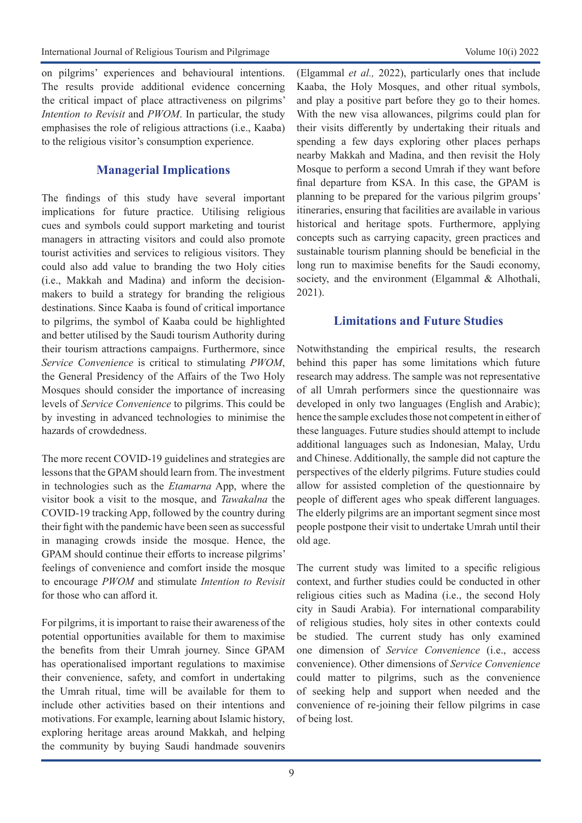on pilgrims' experiences and behavioural intentions. The results provide additional evidence concerning the critical impact of place attractiveness on pilgrims' *Intention to Revisit* and *PWOM*. In particular, the study emphasises the role of religious attractions (i.e., Kaaba) to the religious visitor's consumption experience.

# **Managerial Implications**

The findings of this study have several important implications for future practice. Utilising religious cues and symbols could support marketing and tourist managers in attracting visitors and could also promote tourist activities and services to religious visitors. They could also add value to branding the two Holy cities (i.e., Makkah and Madina) and inform the decisionmakers to build a strategy for branding the religious destinations. Since Kaaba is found of critical importance to pilgrims, the symbol of Kaaba could be highlighted and better utilised by the Saudi tourism Authority during their tourism attractions campaigns. Furthermore, since *Service Convenience* is critical to stimulating *PWOM*, the General Presidency of the Affairs of the Two Holy Mosques should consider the importance of increasing levels of *Service Convenience* to pilgrims. This could be by investing in advanced technologies to minimise the hazards of crowdedness.

The more recent COVID-19 guidelines and strategies are lessons that the GPAM should learn from. The investment in technologies such as the *Etamarna* App, where the visitor book a visit to the mosque, and *Tawakalna* the COVID-19 tracking App, followed by the country during their fight with the pandemic have been seen as successful in managing crowds inside the mosque. Hence, the GPAM should continue their efforts to increase pilgrims' feelings of convenience and comfort inside the mosque to encourage *PWOM* and stimulate *Intention to Revisit* for those who can afford it.

For pilgrims, it is important to raise their awareness of the potential opportunities available for them to maximise the benefits from their Umrah journey. Since GPAM has operationalised important regulations to maximise their convenience, safety, and comfort in undertaking the Umrah ritual, time will be available for them to include other activities based on their intentions and motivations. For example, learning about Islamic history, exploring heritage areas around Makkah, and helping the community by buying Saudi handmade souvenirs (Elgammal *et al.,* 2022), particularly ones that include Kaaba, the Holy Mosques, and other ritual symbols, and play a positive part before they go to their homes. With the new visa allowances, pilgrims could plan for their visits differently by undertaking their rituals and spending a few days exploring other places perhaps nearby Makkah and Madina, and then revisit the Holy Mosque to perform a second Umrah if they want before final departure from KSA. In this case, the GPAM is planning to be prepared for the various pilgrim groups' itineraries, ensuring that facilities are available in various historical and heritage spots. Furthermore, applying concepts such as carrying capacity, green practices and sustainable tourism planning should be beneficial in the long run to maximise benefits for the Saudi economy, society, and the environment (Elgammal & Alhothali, 2021).

## **Limitations and Future Studies**

Notwithstanding the empirical results, the research behind this paper has some limitations which future research may address. The sample was not representative of all Umrah performers since the questionnaire was developed in only two languages (English and Arabic); hence the sample excludes those not competent in either of these languages. Future studies should attempt to include additional languages such as Indonesian, Malay, Urdu and Chinese. Additionally, the sample did not capture the perspectives of the elderly pilgrims. Future studies could allow for assisted completion of the questionnaire by people of different ages who speak different languages. The elderly pilgrims are an important segment since most people postpone their visit to undertake Umrah until their old age.

The current study was limited to a specific religious context, and further studies could be conducted in other religious cities such as Madina (i.e., the second Holy city in Saudi Arabia). For international comparability of religious studies, holy sites in other contexts could be studied. The current study has only examined one dimension of *Service Convenience* (i.e., access convenience). Other dimensions of *Service Convenience* could matter to pilgrims, such as the convenience of seeking help and support when needed and the convenience of re-joining their fellow pilgrims in case of being lost.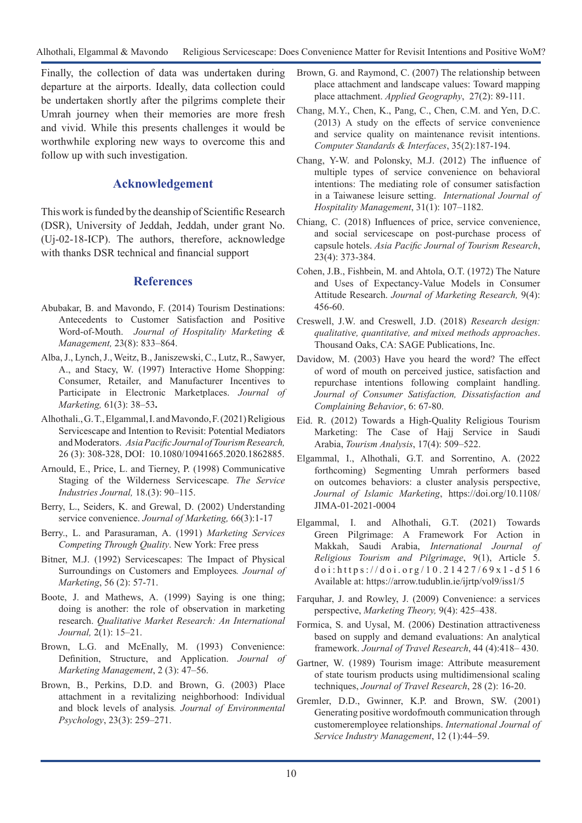Finally, the collection of data was undertaken during departure at the airports. Ideally, data collection could be undertaken shortly after the pilgrims complete their Umrah journey when their memories are more fresh and vivid. While this presents challenges it would be worthwhile exploring new ways to overcome this and follow up with such investigation.

# **Acknowledgement**

This work is funded by the deanship of Scientific Research (DSR), University of Jeddah, Jeddah, under grant No. (Uj-02-18-ICP). The authors, therefore, acknowledge with thanks DSR technical and financial support

# **References**

- Abubakar, B. and Mavondo, F. (2014) Tourism Destinations: Antecedents to Customer Satisfaction and Positive Word-of-Mouth. *Journal of Hospitality Marketing & Management,* 23(8): 833–864.
- Alba, J., Lynch, J., Weitz, B., Janiszewski, C., Lutz, R., Sawyer, A., and Stacy, W. (1997) Interactive Home Shopping: Consumer, Retailer, and Manufacturer Incentives to Participate in Electronic Marketplaces. *Journal of Marketing,* 61(3): 38–53**.**
- Alhothali., G. T., Elgammal, I. and Mavondo, F. (2021) Religious Servicescape and Intention to Revisit: Potential Mediators and Moderators. *Asia Pacific Journal of Tourism Research,* 26 (3): 308-328, DOI: 10.1080/10941665.2020.1862885.
- Arnould, E., Price, L. and Tierney, P. (1998) Communicative Staging of the Wilderness Servicescape*. The Service Industries Journal,* 18.(3): 90–115.
- Berry, L., Seiders, K. and Grewal, D. (2002) Understanding service convenience. *Journal of Marketing*, 66(3):1-17
- Berry., L. and Parasuraman, A. (1991) *Marketing Services Competing Through Quality*. New York: Free press
- Bitner, M.J. (1992) Servicescapes: The Impact of Physical Surroundings on Customers and Employees*. Journal of Marketing*, 56 (2): 57-71.
- Boote, J. and Mathews, A. (1999) Saying is one thing; doing is another: the role of observation in marketing research. *Qualitative Market Research: An International Journal,* 2(1): 15–21.
- Brown, L.G. and McEnally, M. (1993) Convenience: Definition, Structure, and Application. *Journal of Marketing Management*, 2 (3): 47–56.
- Brown, B., Perkins, D.D. and Brown, G. (2003) Place attachment in a revitalizing neighborhood: Individual and block levels of analysis*. Journal of Environmental Psychology*, 23(3): 259–271.
- Brown, G. and Raymond, C. (2007) The relationship between place attachment and landscape values: Toward mapping place attachment. *Applied Geography*, 27(2): 89-111.
- Chang, M.Y., Chen, K., Pang, C., Chen, C.M. and Yen, D.C. (2013) A study on the effects of service convenience and service quality on maintenance revisit intentions. *Computer Standards & Interfaces*, 35(2):187-194.
- Chang, Y-W. and Polonsky, M.J. (2012) The influence of multiple types of service convenience on behavioral intentions: The mediating role of consumer satisfaction in a Taiwanese leisure setting. *International Journal of Hospitality Management*, 31(1): 107–1182.
- Chiang, C. (2018) Influences of price, service convenience, and social servicescape on post-purchase process of capsule hotels. *Asia Pacific Journal of Tourism Research*, 23(4): 373-384.
- Cohen, J.B., Fishbein, M. and Ahtola, O.T. (1972) The Nature and Uses of Expectancy-Value Models in Consumer Attitude Research. *Journal of Marketing Research,* 9(4): 456-60.
- Creswell, J.W. and Creswell, J.D. (2018) *Research design: qualitative, quantitative, and mixed methods approaches*. Thousand Oaks, CA: SAGE Publications, Inc.
- Davidow, M. (2003) Have you heard the word? The effect of word of mouth on perceived justice, satisfaction and repurchase intentions following complaint handling. *Journal of Consumer Satisfaction, Dissatisfaction and Complaining Behavior*, 6: 67-80.
- Eid. R. (2012) Towards a High-Quality Religious Tourism Marketing: The Case of Hajj Service in Saudi Arabia, *Tourism Analysis*, 17(4): 509–522.
- Elgammal, I., Alhothali, G.T. and Sorrentino, A. (2022 forthcoming) Segmenting Umrah performers based on outcomes behaviors: a cluster analysis perspective, *Journal of Islamic Marketing*, https://doi.org/10.1108/ JIMA-01-2021-0004
- Elgammal, I. and Alhothali, G.T. (2021) Towards Green Pilgrimage: A Framework For Action in Makkah, Saudi Arabia, *International Journal of Religious Tourism and Pilgrimage*, 9(1), Article 5. doi:https://doi.org/10.21427/69x1-d516 Available at: https://arrow.tudublin.ie/ijrtp/vol9/iss1/5
- Farquhar, J. and Rowley, J. (2009) Convenience: a services perspective, *Marketing Theory,* 9(4): 425–438.
- Formica, S. and Uysal, M. (2006) Destination attractiveness based on supply and demand evaluations: An analytical framework. *Journal of Travel Research*, 44 (4):418– 430.
- Gartner, W. (1989) Tourism image: Attribute measurement of state tourism products using multidimensional scaling techniques, *Journal of Travel Research*, 28 (2): 16-20.
- Gremler, D.D., Gwinner, K.P. and Brown, SW. (2001) Generating positive wordofmouth communication through customeremployee relationships. *International Journal of Service Industry Management*, 12 (1):44–59.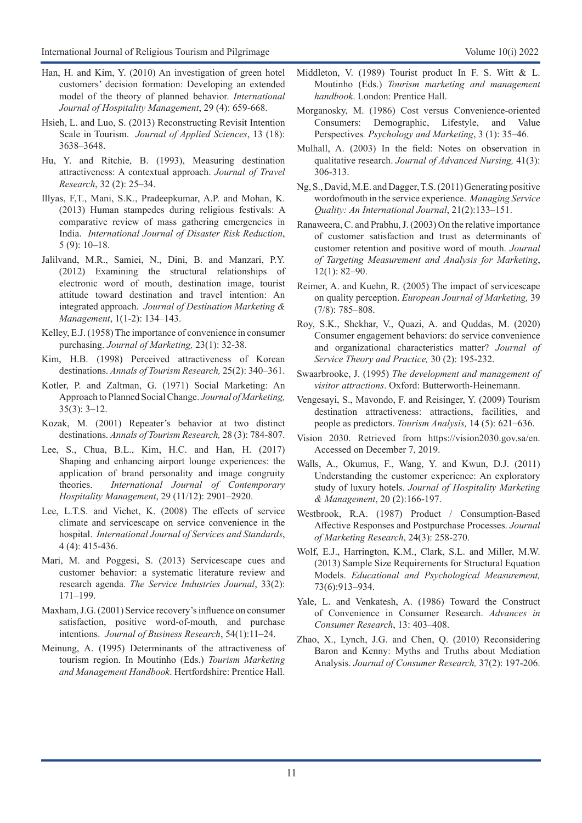- Han, H. and Kim, Y. (2010) An investigation of green hotel customers' decision formation: Developing an extended model of the theory of planned behavior. *International Journal of Hospitality Management*, 29 (4): 659-668.
- Hsieh, L. and Luo, S. (2013) Reconstructing Revisit Intention Scale in Tourism. *Journal of Applied Sciences*, 13 (18): 3638–3648.
- Hu, Y. and Ritchie, B. (1993), Measuring destination attractiveness: A contextual approach. *Journal of Travel Research*, 32 (2): 25–34.
- Illyas, F,T., Mani, S.K., Pradeepkumar, A.P. and Mohan, K. (2013) Human stampedes during religious festivals: A comparative review of mass gathering emergencies in India. *International Journal of Disaster Risk Reduction*, 5 (9): 10–18.
- Jalilvand, M.R., Samiei, N., Dini, B. and Manzari, P.Y. (2012) Examining the structural relationships of electronic word of mouth, destination image, tourist attitude toward destination and travel intention: An integrated approach. *Journal of Destination Marketing & Management*, 1(1-2): 134–143.
- Kelley, E.J. (1958) The importance of convenience in consumer purchasing. *Journal of Marketing,* 23(1): 32-38.
- Kim, H.B. (1998) Perceived attractiveness of Korean destinations. *Annals of Tourism Research,* 25(2): 340–361.
- Kotler, P. and Zaltman, G. (1971) Social Marketing: An Approach to Planned Social Change. *Journal of Marketing,*  35(3): 3–12.
- Kozak, M. (2001) Repeater's behavior at two distinct destinations. *Annals of Tourism Research,* 28 (3): 784-807.
- Lee, S., Chua, B.L., Kim, H.C. and Han, H. (2017) Shaping and enhancing airport lounge experiences: the application of brand personality and image congruity theories. *International Journal of Contemporary Hospitality Management*, 29 (11/12): 2901–2920.
- Lee, L.T.S. and Vichet, K. (2008) The effects of service climate and servicescape on service convenience in the hospital. *International Journal of Services and Standards*, 4 (4): 415-436.
- Mari, M. and Poggesi, S. (2013) Servicescape cues and customer behavior: a systematic literature review and research agenda. *The Service Industries Journal*, 33(2): 171–199.
- Maxham, J.G. (2001) Service recovery's influence on consumer satisfaction, positive word-of-mouth, and purchase intentions. *Journal of Business Research*, 54(1):11–24.
- Meinung, A. (1995) Determinants of the attractiveness of tourism region. In Moutinho (Eds.) *Tourism Marketing and Management Handbook*. Hertfordshire: Prentice Hall.
- Middleton, V. (1989) Tourist product In F. S. Witt & L. Moutinho (Eds.) *Tourism marketing and management handbook*. London: Prentice Hall.
- Morganosky, M. (1986) Cost versus Convenience-oriented Consumers: Demographic, Lifestyle, and Value Perspectives*. Psychology and Marketing*, 3 (1): 35–46.
- Mulhall, A. (2003) In the field: Notes on observation in qualitative research. *Journal of Advanced Nursing,* 41(3): 306-313.
- Ng, S., David, M.E. and Dagger, T.S. (2011) Generating positive wordofmouth in the service experience. *Managing Service Quality: An International Journal*, 21(2):133–151.
- Ranaweera, C. and Prabhu, J. (2003) On the relative importance of customer satisfaction and trust as determinants of customer retention and positive word of mouth. *Journal of Targeting Measurement and Analysis for Marketing*, 12(1): 82–90.
- Reimer, A. and Kuehn, R. (2005) The impact of servicescape on quality perception. *European Journal of Marketing,* 39 (7/8): 785–808.
- Roy, S.K., Shekhar, V., Quazi, A. and Quddas, M. (2020) Consumer engagement behaviors: do service convenience and organizational characteristics matter? *[Journal of](https://www.emerald.com/insight/publication/issn/2055-6225)  [Service Theory and Practice,](https://www.emerald.com/insight/publication/issn/2055-6225)* 30 (2): 195-232.
- Swaarbrooke, J. (1995) *The development and management of visitor attractions*. Oxford: Butterworth-Heinemann.
- Vengesayi, S., Mavondo, F. and Reisinger, Y. (2009) Tourism destination attractiveness: attractions, facilities, and people as predictors. *Tourism Analysis,* 14 (5): 621–636.
- Vision 2030. Retrieved from https://vision2030.gov.sa/en. Accessed on December 7, 2019.
- Walls, A., Okumus, F., Wang, Y. and Kwun, D.J. (2011) Understanding the customer experience: An exploratory study of luxury hotels. *Journal of Hospitality Marketing & Management*, 20 (2):166-197.
- Westbrook, R.A. (1987) Product / Consumption-Based Affective Responses and Postpurchase Processes. *Journal of Marketing Research*, 24(3): 258-270.
- Wolf, E.J., Harrington, K.M., Clark, S.L. and Miller, M.W. (2013) Sample Size Requirements for Structural Equation Models. *Educational and Psychological Measurement,* 73(6):913–934.
- Yale, L. and Venkatesh, A. (1986) Toward the Construct of Convenience in Consumer Research. *Advances in Consumer Research*, 13: 403–408.
- Zhao, X., Lynch, J.G. and Chen, Q. (2010) Reconsidering Baron and Kenny: Myths and Truths about Mediation Analysis. *Journal of Consumer Research,* 37(2): 197-206.